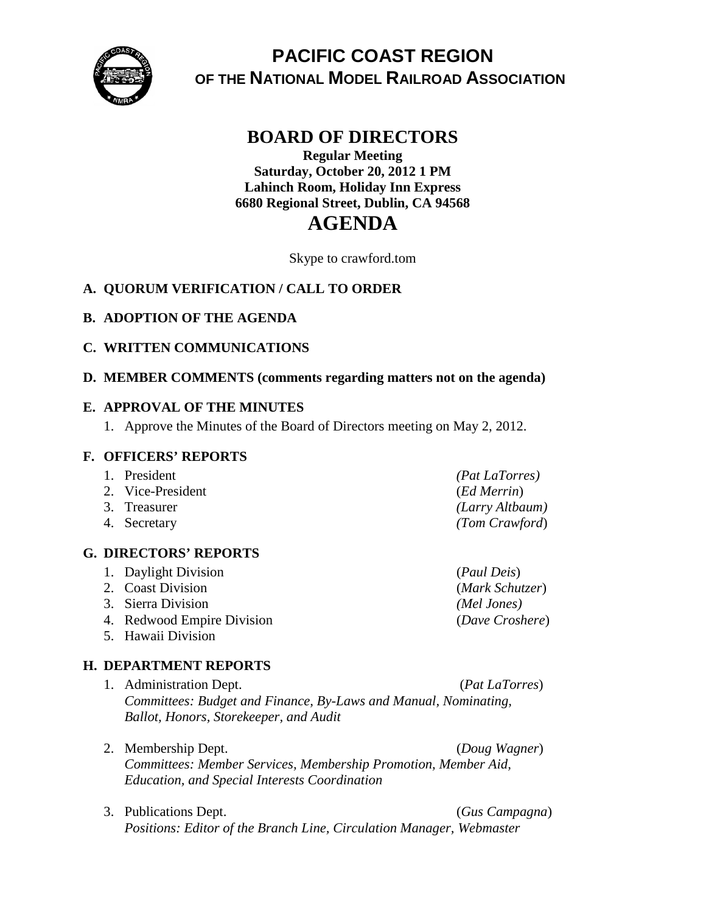

# **PACIFIC COAST REGION OF THE NATIONAL MODEL RAILROAD ASSOCIATION**

# **BOARD OF DIRECTORS**

# **Regular Meeting Saturday, October 20, 2012 1 PM Lahinch Room, Holiday Inn Express 6680 Regional Street, Dublin, CA 94568**

# **AGENDA**

Skype to crawford.tom

# **A. QUORUM VERIFICATION / CALL TO ORDER**

# **B. ADOPTION OF THE AGENDA**

# **C. WRITTEN COMMUNICATIONS**

# **D. MEMBER COMMENTS (comments regarding matters not on the agenda)**

#### **E. APPROVAL OF THE MINUTES**

1. Approve the Minutes of the Board of Directors meeting on May 2, 2012.

#### **F. OFFICERS' REPORTS**

| 1. President      | <i>(Pat LaTorres)</i> |
|-------------------|-----------------------|
| 2. Vice-President | ( <i>Ed Merrin</i> )  |
| 3. Treasurer      | (Larry Altbaum)       |
| 4. Secretary      | (Tom Crawford)        |

# **G. DIRECTORS' REPORTS**

- 1. Daylight Division (*Paul Deis*) 2. Coast Division (*Mark Schutzer*) 3. Sierra Division *(Mel Jones)*
- 4. Redwood Empire Division (*Dave Croshere*)
- 5. Hawaii Division

# **H. DEPARTMENT REPORTS**

- 1. Administration Dept. (*Pat LaTorres*) *Committees: Budget and Finance, By-Laws and Manual, Nominating, Ballot, Honors, Storekeeper, and Audit*
- 2. Membership Dept. (*Doug Wagner*) *Committees: Member Services, Membership Promotion, Member Aid, Education, and Special Interests Coordination*
- 3. Publications Dept. (*Gus Campagna*) *Positions: Editor of the Branch Line, Circulation Manager, Webmaster*